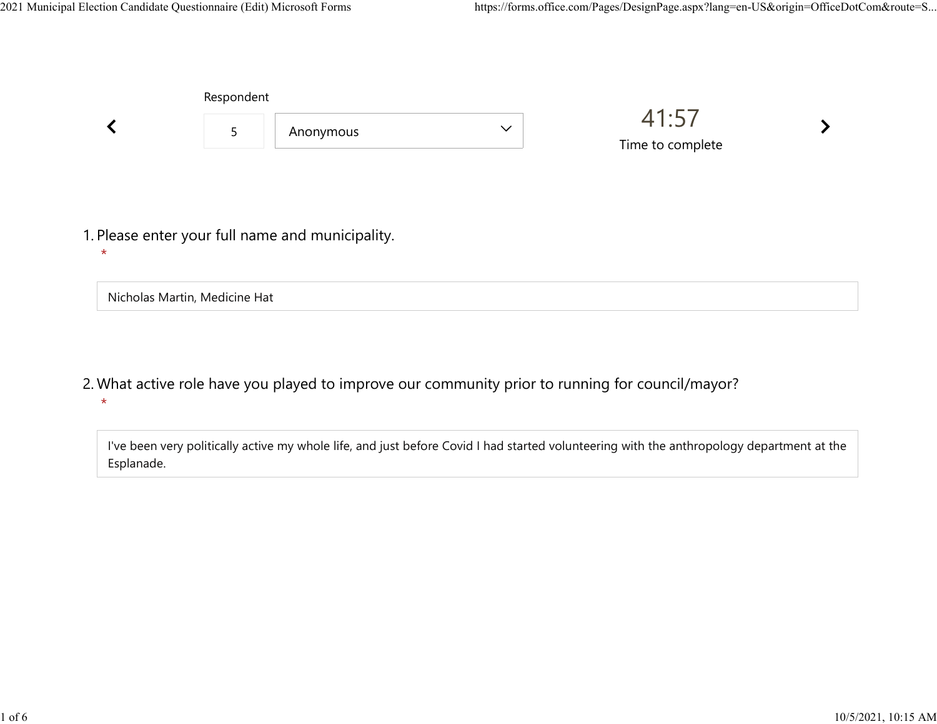Nicholas Martin, Medicine Hat

|         | Respondent |                                                  |              |                           |  |  |
|---------|------------|--------------------------------------------------|--------------|---------------------------|--|--|
|         | 5          | Anonymous                                        | $\checkmark$ | 41:57<br>Time to complete |  |  |
|         |            |                                                  |              |                           |  |  |
| $\star$ |            | 1. Please enter your full name and municipality. |              |                           |  |  |

What active role have you played to improve our community prior to running for council/mayor? 2. \*

I've been very politically active my whole life, and just before Covid I had started volunteering with the anthropology department at the Esplanade.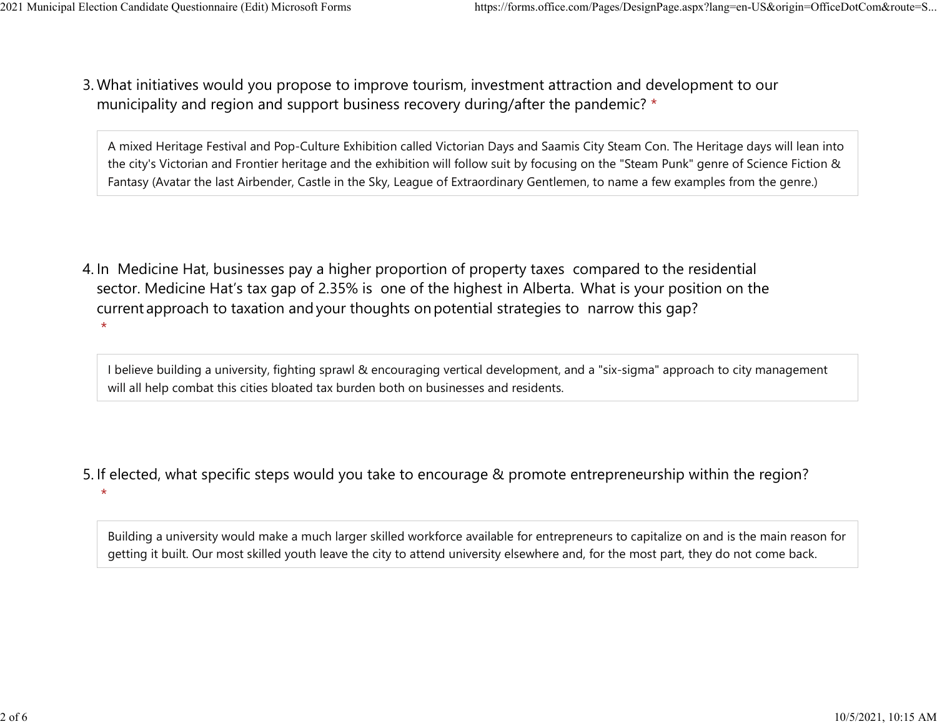$\star$ 

What initiatives would you propose to improve tourism, investment attraction and development to our 3. municipality and region and support business recovery during/after the pandemic? \* 2021 Municipal Election Candidate Questionnaire (Edit) Microsoft Forms https://forms.office.com/Pages/DesignPage.aspx?lang=en-US&origin=OfficeDotCom&route=S...<br>2 Mhat initiatives would you propose to improve tourism invest

> A mixed Heritage Festival and Pop-Culture Exhibition called Victorian Days and Saamis City Steam Con. The Heritage days will lean into the city's Victorian and Frontier heritage and the exhibition will follow suit by focusing on the "Steam Punk" genre of Science Fiction & Fantasy (Avatar the last Airbender, Castle in the Sky, League of Extraordinary Gentlemen, to name a few examples from the genre.)

4. In Medicine Hat, businesses pay a higher proportion of property taxes compared to the residential sector.  Medicine Hat's tax gap of 2.35% is one of the highest in Alberta.  What is your position on the current approach to taxation and your thoughts on potential strategies to narrow this gap?  $\star$ 

I believe building a university, fighting sprawl & encouraging vertical development, and a "six-sigma" approach to city management will all help combat this cities bloated tax burden both on businesses and residents.

5. If elected, what specific steps would you take to encourage & promote entrepreneurship within the region?

Building a university would make a much larger skilled workforce available for entrepreneurs to capitalize on and is the main reason for getting it built. Our most skilled youth leave the city to attend university elsewhere and, for the most part, they do not come back.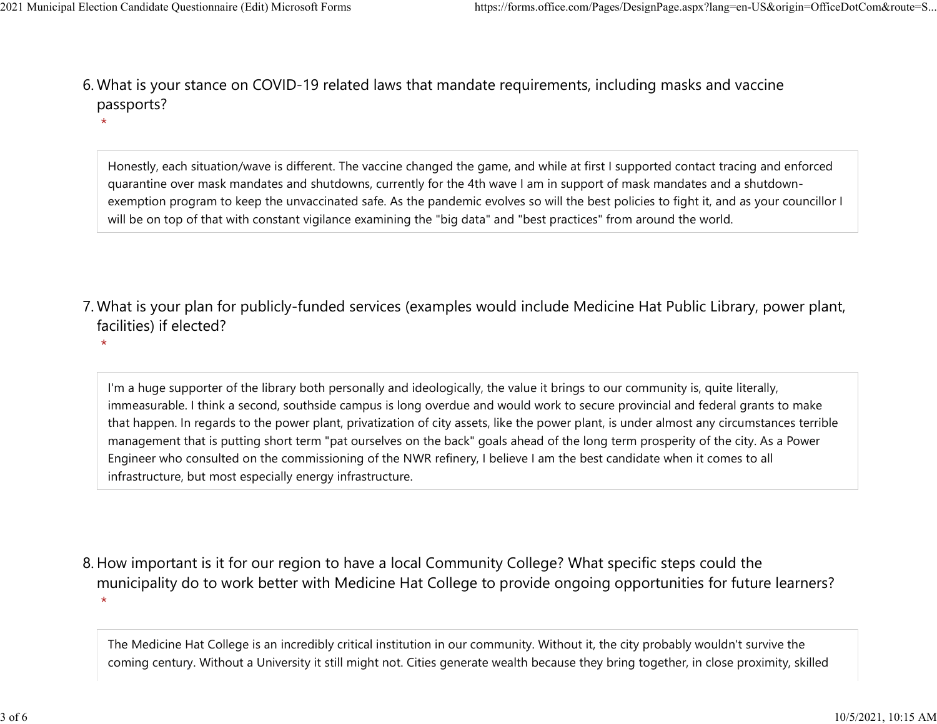- What is your stance on COVID-19 related laws that mandate requirements, including masks and vaccine 6. passports? 2021 Municipal Election Candidate Questionnaire (Edit) Microsoft Forms https://forms.office.com/Pages/DesignPage.aspx?lang=en-US&origin=OfficeDotCom&route=S...<br>6 Mhat is vour stance on COVID-19 related laws that mandate re
	- $\star$

Honestly, each situation/wave is different. The vaccine changed the game, and while at first I supported contact tracing and enforced quarantine over mask mandates and shutdowns, currently for the 4th wave I am in support of mask mandates and a shutdownexemption program to keep the unvaccinated safe. As the pandemic evolves so will the best policies to fight it, and as your councillor I will be on top of that with constant vigilance examining the "big data" and "best practices" from around the world.

- What is your plan for publicly-funded services (examples would include Medicine Hat Public Library, power plant, 7. facilities) if elected?
	- $\star$

I'm a huge supporter of the library both personally and ideologically, the value it brings to our community is, quite literally, immeasurable. I think a second, southside campus is long overdue and would work to secure provincial and federal grants to make that happen. In regards to the power plant, privatization of city assets, like the power plant, is under almost any circumstances terrible management that is putting short term "pat ourselves on the back" goals ahead of the long term prosperity of the city. As a Power Engineer who consulted on the commissioning of the NWR refinery, I believe I am the best candidate when it comes to all infrastructure, but most especially energy infrastructure.

8. How important is it for our region to have a local Community College? What specific steps could the municipality do to work better with Medicine Hat College to provide ongoing opportunities for future learners?  $\star$ 

The Medicine Hat College is an incredibly critical institution in our community. Without it, the city probably wouldn't survive the coming century. Without a University it still might not. Cities generate wealth because they bring together, in close proximity, skilled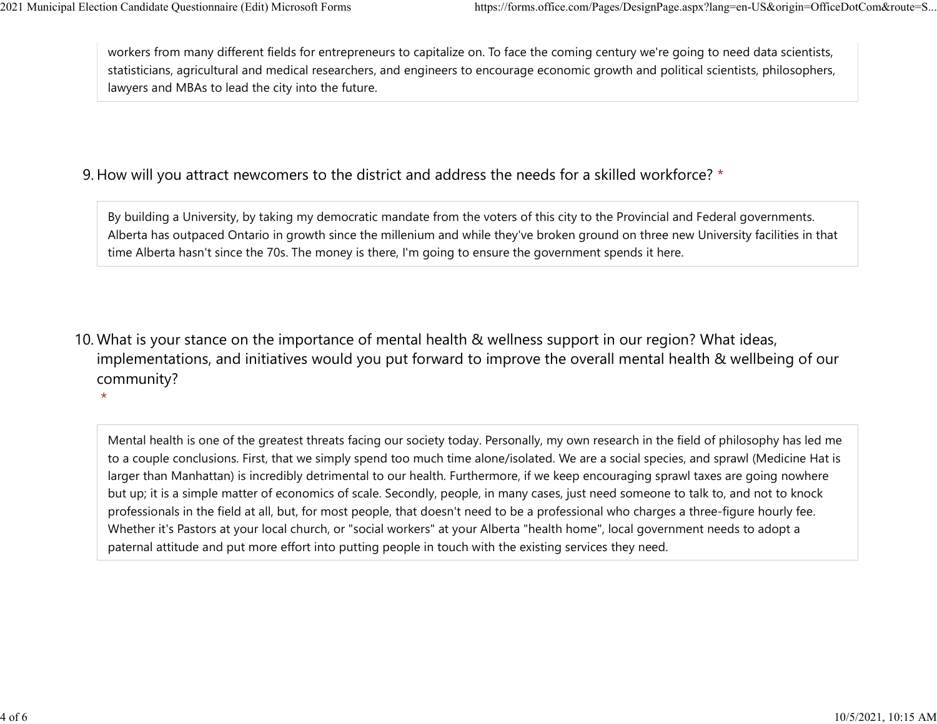$\star$ 

workers from many different fields for entrepreneurs to capitalize on. To face the coming century we're going to need data scientists, statisticians, agricultural and medical researchers, and engineers to encourage economic growth and political scientists, philosophers, lawyers and MBAs to lead the city into the future. 2021 Municipal Election Candidate Questionnaire (Edit) Microsoft Forms https://forms.office.com/Pages/DesignPage.aspx?lang=en-US&origin=OfficeDotCom&route=S...<br>workers from many different fields for entrepreneurs to capita

## 9. How will you attract newcomers to the district and address the needs for a skilled workforce? \*

By building a University, by taking my democratic mandate from the voters of this city to the Provincial and Federal governments. Alberta has outpaced Ontario in growth since the millenium and while they've broken ground on three new University facilities in that time Alberta hasn't since the 70s. The money is there, I'm going to ensure the government spends it here.

10. What is your stance on the importance of mental health & wellness support in our region? What ideas, implementations, and initiatives would you put forward to improve the overall mental health & wellbeing of our community?

Mental health is one of the greatest threats facing our society today. Personally, my own research in the field of philosophy has led me to a couple conclusions. First, that we simply spend too much time alone/isolated. We are a social species, and sprawl (Medicine Hat is larger than Manhattan) is incredibly detrimental to our health. Furthermore, if we keep encouraging sprawl taxes are going nowhere but up; it is a simple matter of economics of scale. Secondly, people, in many cases, just need someone to talk to, and not to knock professionals in the field at all, but, for most people, that doesn't need to be a professional who charges a three-figure hourly fee. Whether it's Pastors at your local church, or "social workers" at your Alberta "health home", local government needs to adopt a paternal attitude and put more effort into putting people in touch with the existing services they need.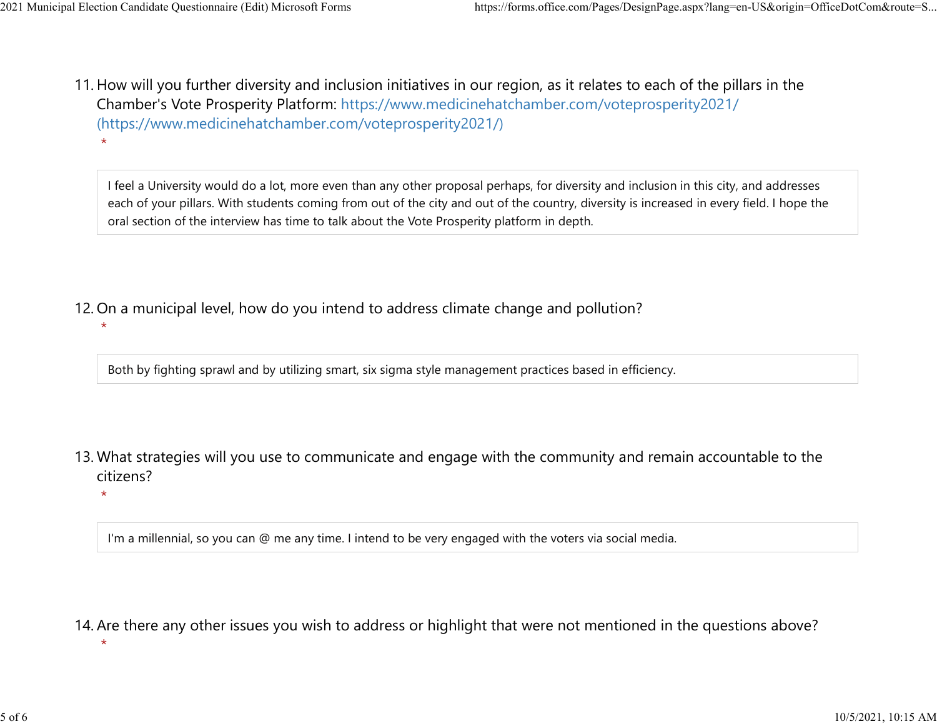$\star$ 

 $\star$ 

\*

11. How will you further diversity and inclusion initiatives in our region, as it relates to each of the pillars in the Chamber's Vote Prosperity Platform: https://www.medicinehatchamber.com/voteprosperity2021/ (https://www.medicinehatchamber.com/voteprosperity2021/)  $\star$ 2021 Municipal Election Candidate Questionnaire (Edit) Microsoft Forms https://forms.office.com/Pages/DesignPage.aspx?lang=en-US&origin=OfficeDotCom&route=S...<br>11 How will you further diversity and inclusion initiatives in

> I feel a University would do a lot, more even than any other proposal perhaps, for diversity and inclusion in this city, and addresses each of your pillars. With students coming from out of the city and out of the country, diversity is increased in every field. I hope the oral section of the interview has time to talk about the Vote Prosperity platform in depth.

12. On a municipal level, how do you intend to address climate change and pollution?

Both by fighting sprawl and by utilizing smart, six sigma style management practices based in efficiency.

13. What strategies will you use to communicate and engage with the community and remain accountable to the citizens?

I'm a millennial, so you can @ me any time. I intend to be very engaged with the voters via social media.

14. Are there any other issues you wish to address or highlight that were not mentioned in the questions above?